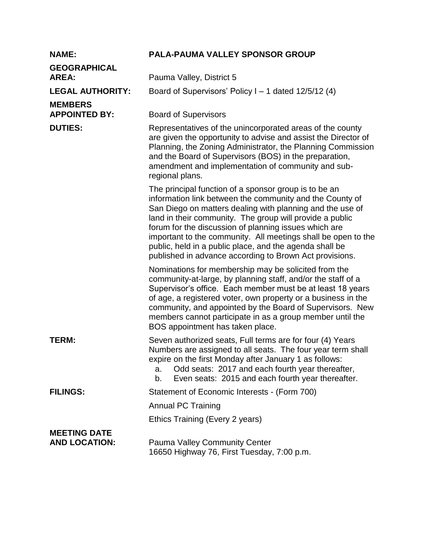| <b>NAME:</b>                                | <b>PALA-PAUMA VALLEY SPONSOR GROUP</b>                                                                                                                                                                                                                                                                                                                                                                                                                                                     |
|---------------------------------------------|--------------------------------------------------------------------------------------------------------------------------------------------------------------------------------------------------------------------------------------------------------------------------------------------------------------------------------------------------------------------------------------------------------------------------------------------------------------------------------------------|
| <b>GEOGRAPHICAL</b><br><b>AREA:</b>         | Pauma Valley, District 5                                                                                                                                                                                                                                                                                                                                                                                                                                                                   |
| <b>LEGAL AUTHORITY:</b>                     | Board of Supervisors' Policy $I - 1$ dated 12/5/12 (4)                                                                                                                                                                                                                                                                                                                                                                                                                                     |
| <b>MEMBERS</b><br><b>APPOINTED BY:</b>      | <b>Board of Supervisors</b>                                                                                                                                                                                                                                                                                                                                                                                                                                                                |
| <b>DUTIES:</b>                              | Representatives of the unincorporated areas of the county<br>are given the opportunity to advise and assist the Director of<br>Planning, the Zoning Administrator, the Planning Commission<br>and the Board of Supervisors (BOS) in the preparation,<br>amendment and implementation of community and sub-<br>regional plans.                                                                                                                                                              |
|                                             | The principal function of a sponsor group is to be an<br>information link between the community and the County of<br>San Diego on matters dealing with planning and the use of<br>land in their community. The group will provide a public<br>forum for the discussion of planning issues which are<br>important to the community. All meetings shall be open to the<br>public, held in a public place, and the agenda shall be<br>published in advance according to Brown Act provisions. |
|                                             | Nominations for membership may be solicited from the<br>community-at-large, by planning staff, and/or the staff of a<br>Supervisor's office. Each member must be at least 18 years<br>of age, a registered voter, own property or a business in the<br>community, and appointed by the Board of Supervisors. New<br>members cannot participate in as a group member until the<br>BOS appointment has taken place.                                                                          |
| TERM:                                       | Seven authorized seats, Full terms are for four (4) Years<br>Numbers are assigned to all seats. The four year term shall<br>expire on the first Monday after January 1 as follows:<br>Odd seats: 2017 and each fourth year thereafter,<br>a.<br>Even seats: 2015 and each fourth year thereafter.<br>b.                                                                                                                                                                                    |
| <b>FILINGS:</b>                             | Statement of Economic Interests - (Form 700)                                                                                                                                                                                                                                                                                                                                                                                                                                               |
|                                             | <b>Annual PC Training</b>                                                                                                                                                                                                                                                                                                                                                                                                                                                                  |
|                                             | Ethics Training (Every 2 years)                                                                                                                                                                                                                                                                                                                                                                                                                                                            |
| <b>MEETING DATE</b><br><b>AND LOCATION:</b> | <b>Pauma Valley Community Center</b><br>16650 Highway 76, First Tuesday, 7:00 p.m.                                                                                                                                                                                                                                                                                                                                                                                                         |